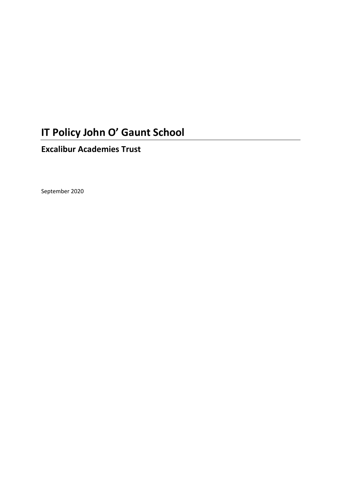# **IT Policy John O' Gaunt School**

## **Excalibur Academies Trust**

September 2020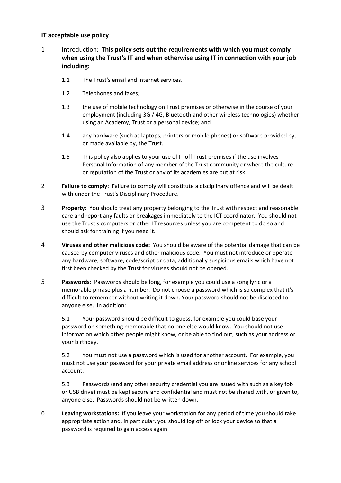#### **IT acceptable use policy**

- 1 Introduction: **This policy sets out the requirements with which you must comply when using the Trust's IT and when otherwise using IT in connection with your job including:**
	- 1.1 The Trust's email and internet services.
	- 1.2 Telephones and faxes;
	- 1.3 the use of mobile technology on Trust premises or otherwise in the course of your employment (including 3G / 4G, Bluetooth and other wireless technologies) whether using an Academy, Trust or a personal device; and
	- 1.4 any hardware (such as laptops, printers or mobile phones) or software provided by, or made available by, the Trust.
	- 1.5 This policy also applies to your use of IT off Trust premises if the use involves Personal Information of any member of the Trust community or where the culture or reputation of the Trust or any of its academies are put at risk.
- 2 **Failure to comply:** Failure to comply will constitute a disciplinary offence and will be dealt with under the Trust's Disciplinary Procedure.
- 3 **Property:** You should treat any property belonging to the Trust with respect and reasonable care and report any faults or breakages immediately to the ICT coordinator. You should not use the Trust's computers or other IT resources unless you are competent to do so and should ask for training if you need it.
- 4 **Viruses and other malicious code:** You should be aware of the potential damage that can be caused by computer viruses and other malicious code. You must not introduce or operate any hardware, software, code/script or data, additionally suspicious emails which have not first been checked by the Trust for viruses should not be opened.
- 5 **Passwords:** Passwords should be long, for example you could use a song lyric or a memorable phrase plus a number. Do not choose a password which is so complex that it's difficult to remember without writing it down. Your password should not be disclosed to anyone else. In addition:

5.1 Your password should be difficult to guess, for example you could base your password on something memorable that no one else would know. You should not use information which other people might know, or be able to find out, such as your address or your birthday.

5.2 You must not use a password which is used for another account. For example, you must not use your password for your private email address or online services for any school account.

5.3 Passwords (and any other security credential you are issued with such as a key fob or USB drive) must be kept secure and confidential and must not be shared with, or given to, anyone else. Passwords should not be written down.

6 **Leaving workstations:** If you leave your workstation for any period of time you should take appropriate action and, in particular, you should log off or lock your device so that a password is required to gain access again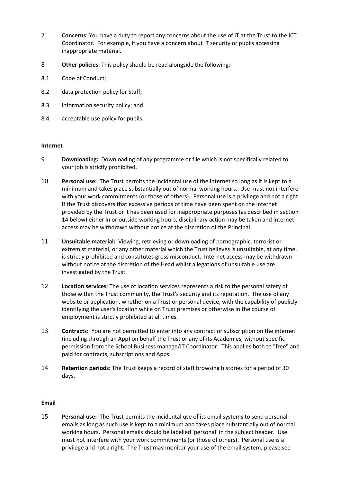- 7 **Concerns**: You have a duty to report any concerns about the use of IT at the Trust to the ICT Coordinator. For example, if you have a concern about IT security or pupils accessing inappropriate material.
- 8 **Other policies**: This policy should be read alongside the following:
- 8.1 Code of Conduct;
- 8.2 data protection policy for Staff;
- 8.3 information security policy; and
- 8.4 acceptable use policy for pupils.

### **Internet**

- 9 **Downloading:** Downloading of any programme or file which is not specifically related to your job is strictly prohibited.
- 10 **Personal use:** The Trust permits the incidental use of the internet so long as it is kept to a minimum and takes place substantially out of normal working hours. Use must not interfere with your work commitments (or those of others). Personal use is a privilege and not a right. If the Trust discovers that excessive periods of time have been spent on the internet provided by the Trust or it has been used for inappropriate purposes (as described in section 14 below) either in or outside working hours, disciplinary action may be taken and internet access may be withdrawn without notice at the discretion of the Principal.
- 11 **Unsuitable material:** Viewing, retrieving or downloading of pornographic, terrorist or extremist material, or any other material which the Trust believes is unsuitable, at any time, is strictly prohibited and constitutes gross misconduct. Internet access may be withdrawn without notice at the discretion of the Head whilst allegations of unsuitable use are investigated by the Trust.
- 12 **Location services**: The use of location services represents a risk to the personal safety of those within the Trust community, the Trust's security and its reputation. The use of any website or application, whether on a Trust or personal device, with the capability of publicly identifying the user's location while on Trust premises or otherwise in the course of employment is strictly prohibited at all times.
- 13 **Contracts:** You are not permitted to enter into any contract or subscription on the internet (including through an App) on behalf the Trust or any of its Academies, without specific permission from the School Business manage/IT Coordinator. This applies both to "free" and paid for contracts, subscriptions and Apps.
- 14 **Retention periods**: The Trust keeps a record of staff browsing histories for a period of 30 days.

### **Email**

15 **Personal use:** The Trust permits the incidental use of its email systems to send personal emails as long as such use is kept to a minimum and takes place substantially out of normal working hours. Personal emails should be labelled 'personal' in the subject header. Use must not interfere with your work commitments (or those of others). Personal use is a privilege and not a right. The Trust may monitor your use of the email system, please see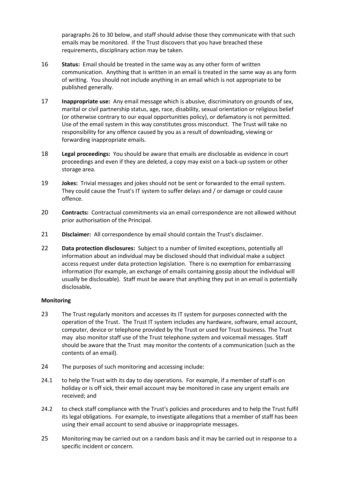paragraphs 26 to 30 below, and staff should advise those they communicate with that such emails may be monitored. If the Trust discovers that you have breached these requirements, disciplinary action may be taken.

- 16 **Status:** Email should be treated in the same way as any other form of written communication. Anything that is written in an email is treated in the same way as any form of writing. You should not include anything in an email which is not appropriate to be published generally.
- 17 **Inappropriate use:** Any email message which is abusive, discriminatory on grounds of sex, marital or civil partnership status, age, race, disability, sexual orientation or religious belief (or otherwise contrary to our equal opportunities policy), or defamatory is not permitted. Use of the email system in this way constitutes gross misconduct. The Trust will take no responsibility for any offence caused by you as a result of downloading, viewing or forwarding inappropriate emails.
- 18 **Legal proceedings:** You should be aware that emails are disclosable as evidence in court proceedings and even if they are deleted, a copy may exist on a back-up system or other storage area.
- 19 **Jokes:** Trivial messages and jokes should not be sent or forwarded to the email system. They could cause the Trust's IT system to suffer delays and / or damage or could cause offence.
- 20 **Contracts:** Contractual commitments via an email correspondence are not allowed without prior authorisation of the Principal.
- 21 **Disclaimer:** All correspondence by email should contain the Trust's disclaimer.
- 22 **Data protection disclosures:** Subject to a number of limited exceptions, potentially all information about an individual may be disclosed should that individual make a subject access request under data protection legislation. There is no exemption for embarrassing information (for example, an exchange of emails containing gossip about the individual will usually be disclosable). Staff must be aware that anything they put in an email is potentially disclosable**.**

#### **Monitoring**

- 23 The Trust regularly monitors and accesses its IT system for purposes connected with the operation of the Trust. The Trust IT system includes any hardware, software, email account, computer, device or telephone provided by the Trust or used for Trust business. The Trust may also monitor staff use of the Trust telephone system and voicemail messages. Staff should be aware that the Trust may monitor the contents of a communication (such as the contents of an email).
- 24 The purposes of such monitoring and accessing include:
- 24.1 to help the Trust with its day to day operations. For example, if a member of staff is on holiday or is off sick, their email account may be monitored in case any urgent emails are received; and
- 24.2 to check staff compliance with the Trust's policies and procedures and to help the Trust fulfil its legal obligations. For example, to investigate allegations that a member of staff has been using their email account to send abusive or inappropriate messages.
- 25 Monitoring may be carried out on a random basis and it may be carried out in response to a specific incident or concern.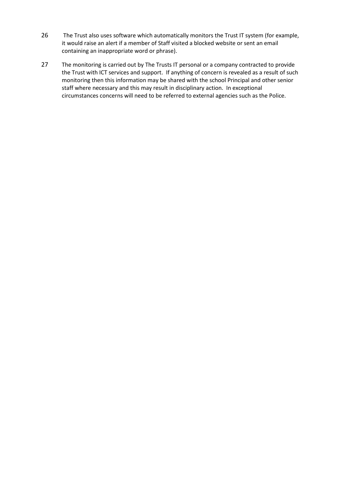- 26 The Trust also uses software which automatically monitors the Trust IT system (for example, it would raise an alert if a member of Staff visited a blocked website or sent an email containing an inappropriate word or phrase).
- 27 The monitoring is carried out by The Trusts IT personal or a company contracted to provide the Trust with ICT services and support. If anything of concern is revealed as a result of such monitoring then this information may be shared with the school Principal and other senior staff where necessary and this may result in disciplinary action. In exceptional circumstances concerns will need to be referred to external agencies such as the Police.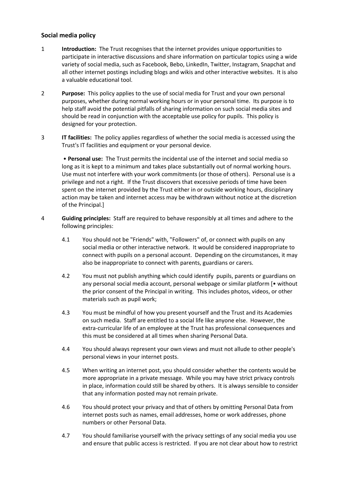### **Social media policy**

- 1 **Introduction:** The Trust recognises that the internet provides unique opportunities to participate in interactive discussions and share information on particular topics using a wide variety of social media, such as Facebook, Bebo, LinkedIn, Twitter, Instagram, Snapchat and all other internet postings including blogs and wikis and other interactive websites. It is also a valuable educational tool.
- 2 **Purpose:** This policy applies to the use of social media for Trust and your own personal purposes, whether during normal working hours or in your personal time. Its purpose is to help staff avoid the potential pitfalls of sharing information on such social media sites and should be read in conjunction with the acceptable use policy for pupils. This policy is designed for your protection.
- 3 **IT facilities:** The policy applies regardless of whether the social media is accessed using the Trust's IT facilities and equipment or your personal device.

• **Personal use:** The Trust permits the incidental use of the internet and social media so long as it is kept to a minimum and takes place substantially out of normal working hours. Use must not interfere with your work commitments (or those of others). Personal use is a privilege and not a right. If the Trust discovers that excessive periods of time have been spent on the internet provided by the Trust either in or outside working hours, disciplinary action may be taken and internet access may be withdrawn without notice at the discretion of the Principal.]

- 4 **Guiding principles:** Staff are required to behave responsibly at all times and adhere to the following principles:
	- 4.1 You should not be "Friends" with, "Followers" of, or connect with pupils on any social media or other interactive network. It would be considered inappropriate to connect with pupils on a personal account. Depending on the circumstances, it may also be inappropriate to connect with parents, guardians or carers.
	- 4.2 You must not publish anything which could identify pupils, parents or guardians on any personal social media account, personal webpage or similar platform [• without the prior consent of the Principal in writing. This includes photos, videos, or other materials such as pupil work;
	- 4.3 You must be mindful of how you present yourself and the Trust and its Academies on such media. Staff are entitled to a social life like anyone else. However, the extra-curricular life of an employee at the Trust has professional consequences and this must be considered at all times when sharing Personal Data.
	- 4.4 You should always represent your own views and must not allude to other people's personal views in your internet posts.
	- 4.5 When writing an internet post, you should consider whether the contents would be more appropriate in a private message. While you may have strict privacy controls in place, information could still be shared by others. It is always sensible to consider that any information posted may not remain private.
	- 4.6 You should protect your privacy and that of others by omitting Personal Data from internet posts such as names, email addresses, home or work addresses, phone numbers or other Personal Data.
	- 4.7 You should familiarise yourself with the privacy settings of any social media you use and ensure that public access is restricted. If you are not clear about how to restrict